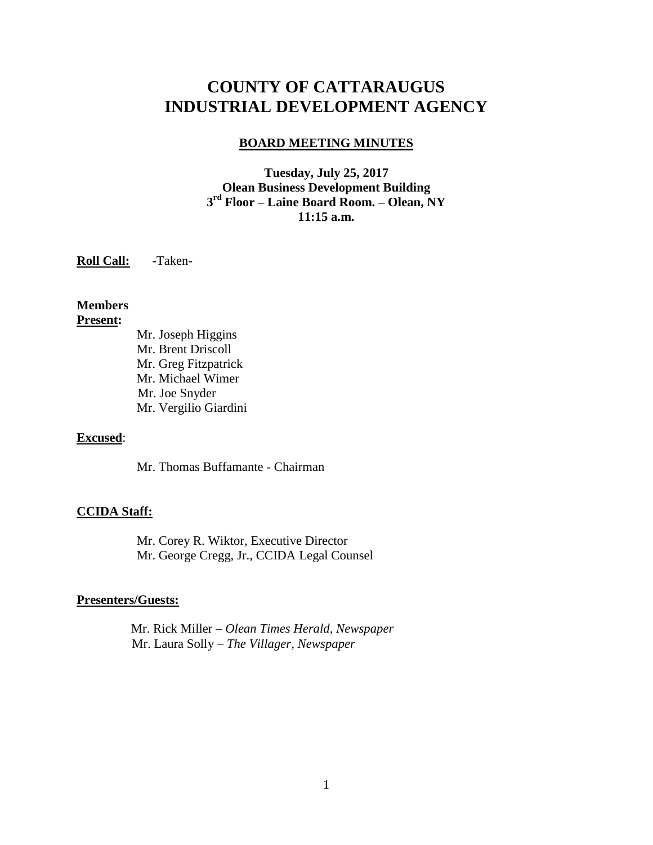# **COUNTY OF CATTARAUGUS INDUSTRIAL DEVELOPMENT AGENCY**

#### **BOARD MEETING MINUTES**

**Tuesday, July 25, 2017 Olean Business Development Building 3 rd Floor – Laine Board Room. – Olean, NY 11:15 a.m.**

**Roll Call:** -Taken-

**Members Present:**

Mr. Joseph Higgins Mr. Brent Driscoll Mr. Greg Fitzpatrick Mr. Michael Wimer Mr. Joe Snyder Mr. Vergilio Giardini

#### **Excused**:

Mr. Thomas Buffamante - Chairman

#### **CCIDA Staff:**

Mr. Corey R. Wiktor, Executive Director Mr. George Cregg, Jr., CCIDA Legal Counsel

#### **Presenters/Guests:**

 Mr. Rick Miller – *Olean Times Herald, Newspaper* Mr. Laura Solly – *The Villager, Newspaper*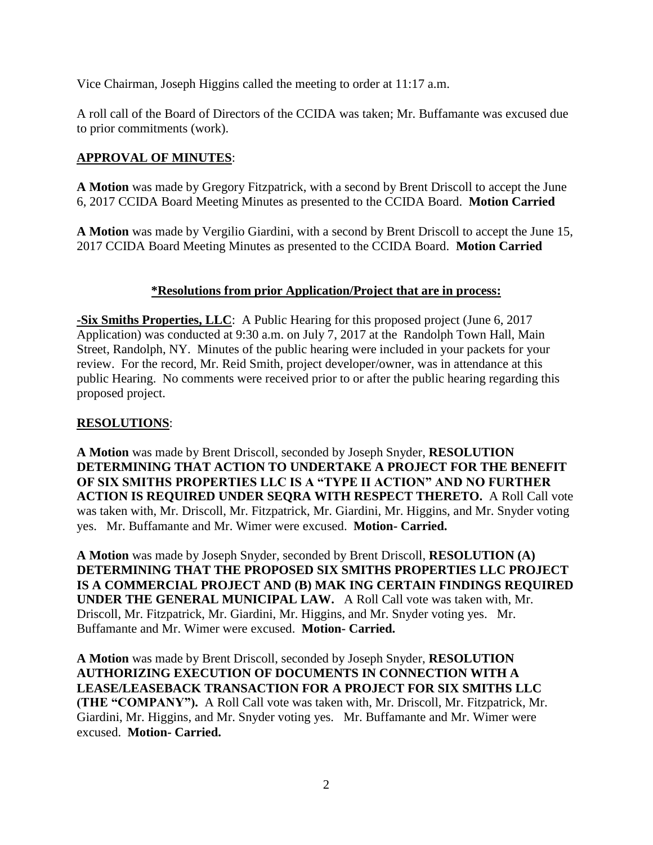Vice Chairman, Joseph Higgins called the meeting to order at 11:17 a.m.

A roll call of the Board of Directors of the CCIDA was taken; Mr. Buffamante was excused due to prior commitments (work).

## **APPROVAL OF MINUTES**:

**A Motion** was made by Gregory Fitzpatrick, with a second by Brent Driscoll to accept the June 6, 2017 CCIDA Board Meeting Minutes as presented to the CCIDA Board. **Motion Carried**

**A Motion** was made by Vergilio Giardini, with a second by Brent Driscoll to accept the June 15, 2017 CCIDA Board Meeting Minutes as presented to the CCIDA Board. **Motion Carried**

### **\*Resolutions from prior Application/Project that are in process:**

**-Six Smiths Properties, LLC**: A Public Hearing for this proposed project (June 6, 2017 Application) was conducted at 9:30 a.m. on July 7, 2017 at the Randolph Town Hall, Main Street, Randolph, NY. Minutes of the public hearing were included in your packets for your review. For the record, Mr. Reid Smith, project developer/owner, was in attendance at this public Hearing. No comments were received prior to or after the public hearing regarding this proposed project.

#### **RESOLUTIONS**:

**A Motion** was made by Brent Driscoll, seconded by Joseph Snyder, **RESOLUTION DETERMINING THAT ACTION TO UNDERTAKE A PROJECT FOR THE BENEFIT OF SIX SMITHS PROPERTIES LLC IS A "TYPE II ACTION" AND NO FURTHER ACTION IS REQUIRED UNDER SEQRA WITH RESPECT THERETO.** A Roll Call vote was taken with, Mr. Driscoll, Mr. Fitzpatrick, Mr. Giardini, Mr. Higgins, and Mr. Snyder voting yes. Mr. Buffamante and Mr. Wimer were excused. **Motion- Carried.**

**A Motion** was made by Joseph Snyder, seconded by Brent Driscoll, **RESOLUTION (A) DETERMINING THAT THE PROPOSED SIX SMITHS PROPERTIES LLC PROJECT IS A COMMERCIAL PROJECT AND (B) MAK ING CERTAIN FINDINGS REQUIRED UNDER THE GENERAL MUNICIPAL LAW.** A Roll Call vote was taken with, Mr. Driscoll, Mr. Fitzpatrick, Mr. Giardini, Mr. Higgins, and Mr. Snyder voting yes. Mr. Buffamante and Mr. Wimer were excused. **Motion- Carried.**

**A Motion** was made by Brent Driscoll, seconded by Joseph Snyder, **RESOLUTION AUTHORIZING EXECUTION OF DOCUMENTS IN CONNECTION WITH A LEASE/LEASEBACK TRANSACTION FOR A PROJECT FOR SIX SMITHS LLC (THE "COMPANY").** A Roll Call vote was taken with, Mr. Driscoll, Mr. Fitzpatrick, Mr. Giardini, Mr. Higgins, and Mr. Snyder voting yes. Mr. Buffamante and Mr. Wimer were excused. **Motion- Carried.**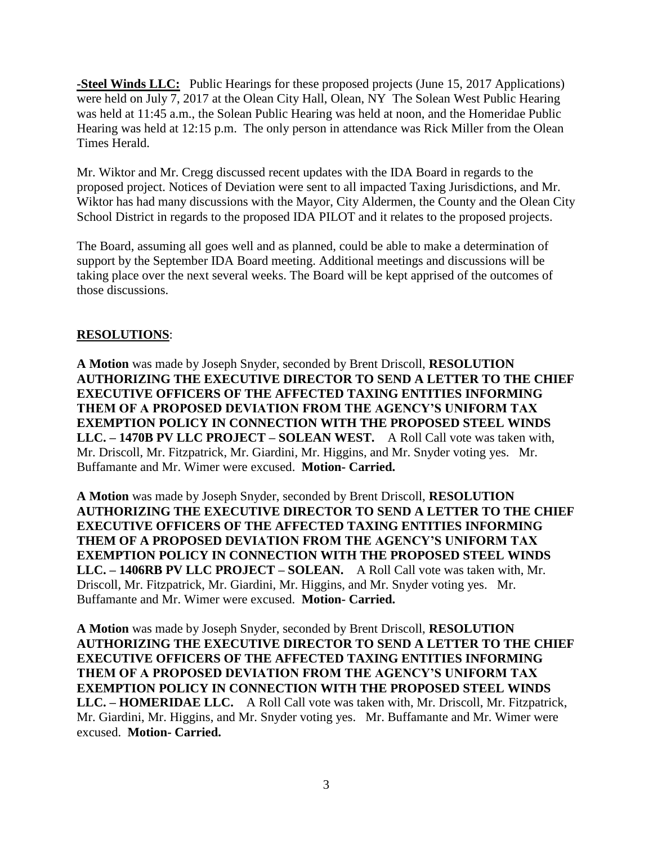**-Steel Winds LLC:** Public Hearings for these proposed projects (June 15, 2017 Applications) were held on July 7, 2017 at the Olean City Hall, Olean, NY The Solean West Public Hearing was held at 11:45 a.m., the Solean Public Hearing was held at noon, and the Homeridae Public Hearing was held at 12:15 p.m. The only person in attendance was Rick Miller from the Olean Times Herald.

Mr. Wiktor and Mr. Cregg discussed recent updates with the IDA Board in regards to the proposed project. Notices of Deviation were sent to all impacted Taxing Jurisdictions, and Mr. Wiktor has had many discussions with the Mayor, City Aldermen, the County and the Olean City School District in regards to the proposed IDA PILOT and it relates to the proposed projects.

The Board, assuming all goes well and as planned, could be able to make a determination of support by the September IDA Board meeting. Additional meetings and discussions will be taking place over the next several weeks. The Board will be kept apprised of the outcomes of those discussions.

#### **RESOLUTIONS**:

**A Motion** was made by Joseph Snyder, seconded by Brent Driscoll, **RESOLUTION AUTHORIZING THE EXECUTIVE DIRECTOR TO SEND A LETTER TO THE CHIEF EXECUTIVE OFFICERS OF THE AFFECTED TAXING ENTITIES INFORMING THEM OF A PROPOSED DEVIATION FROM THE AGENCY'S UNIFORM TAX EXEMPTION POLICY IN CONNECTION WITH THE PROPOSED STEEL WINDS LLC. – 1470B PV LLC PROJECT – SOLEAN WEST.** A Roll Call vote was taken with, Mr. Driscoll, Mr. Fitzpatrick, Mr. Giardini, Mr. Higgins, and Mr. Snyder voting yes. Mr. Buffamante and Mr. Wimer were excused. **Motion- Carried.**

**A Motion** was made by Joseph Snyder, seconded by Brent Driscoll, **RESOLUTION AUTHORIZING THE EXECUTIVE DIRECTOR TO SEND A LETTER TO THE CHIEF EXECUTIVE OFFICERS OF THE AFFECTED TAXING ENTITIES INFORMING THEM OF A PROPOSED DEVIATION FROM THE AGENCY'S UNIFORM TAX EXEMPTION POLICY IN CONNECTION WITH THE PROPOSED STEEL WINDS LLC. – 1406RB PV LLC PROJECT – SOLEAN.** A Roll Call vote was taken with, Mr. Driscoll, Mr. Fitzpatrick, Mr. Giardini, Mr. Higgins, and Mr. Snyder voting yes. Mr. Buffamante and Mr. Wimer were excused. **Motion- Carried.**

**A Motion** was made by Joseph Snyder, seconded by Brent Driscoll, **RESOLUTION AUTHORIZING THE EXECUTIVE DIRECTOR TO SEND A LETTER TO THE CHIEF EXECUTIVE OFFICERS OF THE AFFECTED TAXING ENTITIES INFORMING THEM OF A PROPOSED DEVIATION FROM THE AGENCY'S UNIFORM TAX EXEMPTION POLICY IN CONNECTION WITH THE PROPOSED STEEL WINDS LLC. – HOMERIDAE LLC.** A Roll Call vote was taken with, Mr. Driscoll, Mr. Fitzpatrick, Mr. Giardini, Mr. Higgins, and Mr. Snyder voting yes. Mr. Buffamante and Mr. Wimer were excused. **Motion- Carried.**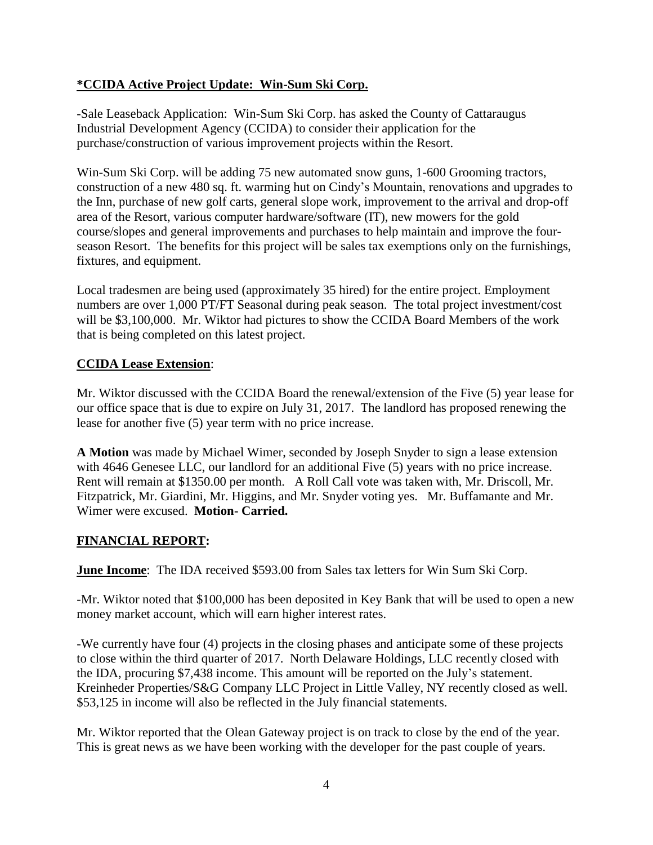#### **\*CCIDA Active Project Update: Win-Sum Ski Corp.**

-Sale Leaseback Application: Win-Sum Ski Corp. has asked the County of Cattaraugus Industrial Development Agency (CCIDA) to consider their application for the purchase/construction of various improvement projects within the Resort.

Win-Sum Ski Corp. will be adding 75 new automated snow guns, 1-600 Grooming tractors, construction of a new 480 sq. ft. warming hut on Cindy's Mountain, renovations and upgrades to the Inn, purchase of new golf carts, general slope work, improvement to the arrival and drop-off area of the Resort, various computer hardware/software (IT), new mowers for the gold course/slopes and general improvements and purchases to help maintain and improve the fourseason Resort. The benefits for this project will be sales tax exemptions only on the furnishings, fixtures, and equipment.

Local tradesmen are being used (approximately 35 hired) for the entire project. Employment numbers are over 1,000 PT/FT Seasonal during peak season. The total project investment/cost will be \$3,100,000. Mr. Wiktor had pictures to show the CCIDA Board Members of the work that is being completed on this latest project.

### **CCIDA Lease Extension**:

Mr. Wiktor discussed with the CCIDA Board the renewal/extension of the Five (5) year lease for our office space that is due to expire on July 31, 2017. The landlord has proposed renewing the lease for another five (5) year term with no price increase.

**A Motion** was made by Michael Wimer, seconded by Joseph Snyder to sign a lease extension with 4646 Genesee LLC, our landlord for an additional Five  $(5)$  years with no price increase. Rent will remain at \$1350.00 per month. A Roll Call vote was taken with, Mr. Driscoll, Mr. Fitzpatrick, Mr. Giardini, Mr. Higgins, and Mr. Snyder voting yes. Mr. Buffamante and Mr. Wimer were excused. **Motion- Carried.**

# **FINANCIAL REPORT:**

**June Income**: The IDA received \$593.00 from Sales tax letters for Win Sum Ski Corp.

-Mr. Wiktor noted that \$100,000 has been deposited in Key Bank that will be used to open a new money market account, which will earn higher interest rates.

-We currently have four (4) projects in the closing phases and anticipate some of these projects to close within the third quarter of 2017. North Delaware Holdings, LLC recently closed with the IDA, procuring \$7,438 income. This amount will be reported on the July's statement. Kreinheder Properties/S&G Company LLC Project in Little Valley, NY recently closed as well. \$53,125 in income will also be reflected in the July financial statements.

Mr. Wiktor reported that the Olean Gateway project is on track to close by the end of the year. This is great news as we have been working with the developer for the past couple of years.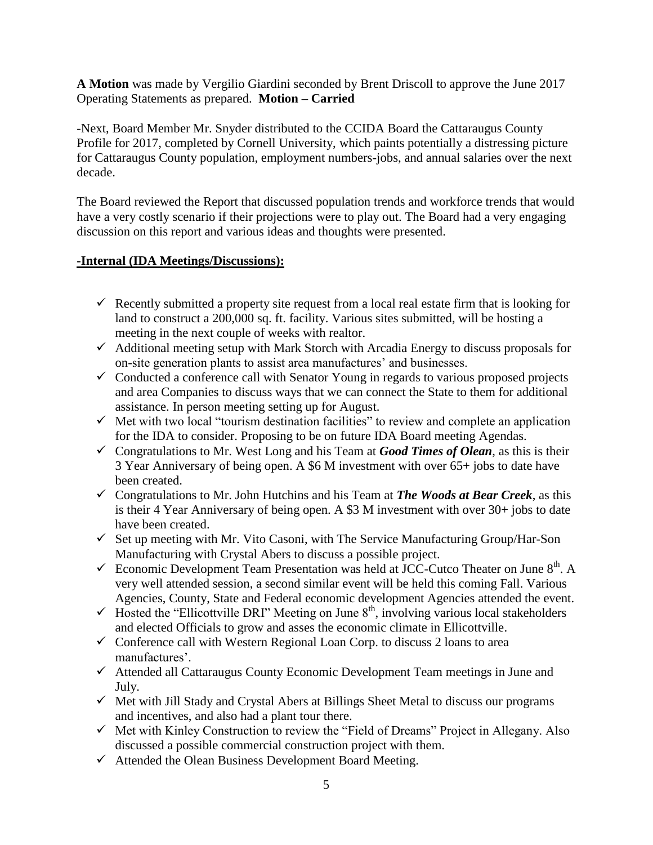**A Motion** was made by Vergilio Giardini seconded by Brent Driscoll to approve the June 2017 Operating Statements as prepared. **Motion – Carried**

-Next, Board Member Mr. Snyder distributed to the CCIDA Board the Cattaraugus County Profile for 2017, completed by Cornell University, which paints potentially a distressing picture for Cattaraugus County population, employment numbers-jobs, and annual salaries over the next decade.

The Board reviewed the Report that discussed population trends and workforce trends that would have a very costly scenario if their projections were to play out. The Board had a very engaging discussion on this report and various ideas and thoughts were presented.

#### **-Internal (IDA Meetings/Discussions):**

- Recently submitted a property site request from a local real estate firm that is looking for land to construct a 200,000 sq. ft. facility. Various sites submitted, will be hosting a meeting in the next couple of weeks with realtor.
- $\checkmark$  Additional meeting setup with Mark Storch with Arcadia Energy to discuss proposals for on-site generation plants to assist area manufactures' and businesses.
- $\checkmark$  Conducted a conference call with Senator Young in regards to various proposed projects and area Companies to discuss ways that we can connect the State to them for additional assistance. In person meeting setting up for August.
- $\checkmark$  Met with two local "tourism destination facilities" to review and complete an application for the IDA to consider. Proposing to be on future IDA Board meeting Agendas.
- $\checkmark$  Congratulations to Mr. West Long and his Team at *Good Times of Olean*, as this is their 3 Year Anniversary of being open. A \$6 M investment with over 65+ jobs to date have been created.
- $\checkmark$  Congratulations to Mr. John Hutchins and his Team at **The Woods at Bear Creek**, as this is their 4 Year Anniversary of being open. A \$3 M investment with over 30+ jobs to date have been created.
- $\checkmark$  Set up meeting with Mr. Vito Casoni, with The Service Manufacturing Group/Har-Son Manufacturing with Crystal Abers to discuss a possible project.
- $\checkmark$  Economic Development Team Presentation was held at JCC-Cutco Theater on June 8<sup>th</sup>. A very well attended session, a second similar event will be held this coming Fall. Various Agencies, County, State and Federal economic development Agencies attended the event.
- $\checkmark$  Hosted the "Ellicottville DRI" Meeting on June 8<sup>th</sup>, involving various local stakeholders and elected Officials to grow and asses the economic climate in Ellicottville.
- $\checkmark$  Conference call with Western Regional Loan Corp. to discuss 2 loans to area manufactures'.
- $\checkmark$  Attended all Cattaraugus County Economic Development Team meetings in June and July.
- $\checkmark$  Met with Jill Stady and Crystal Abers at Billings Sheet Metal to discuss our programs and incentives, and also had a plant tour there.
- $\checkmark$  Met with Kinley Construction to review the "Field of Dreams" Project in Allegany. Also discussed a possible commercial construction project with them.
- $\checkmark$  Attended the Olean Business Development Board Meeting.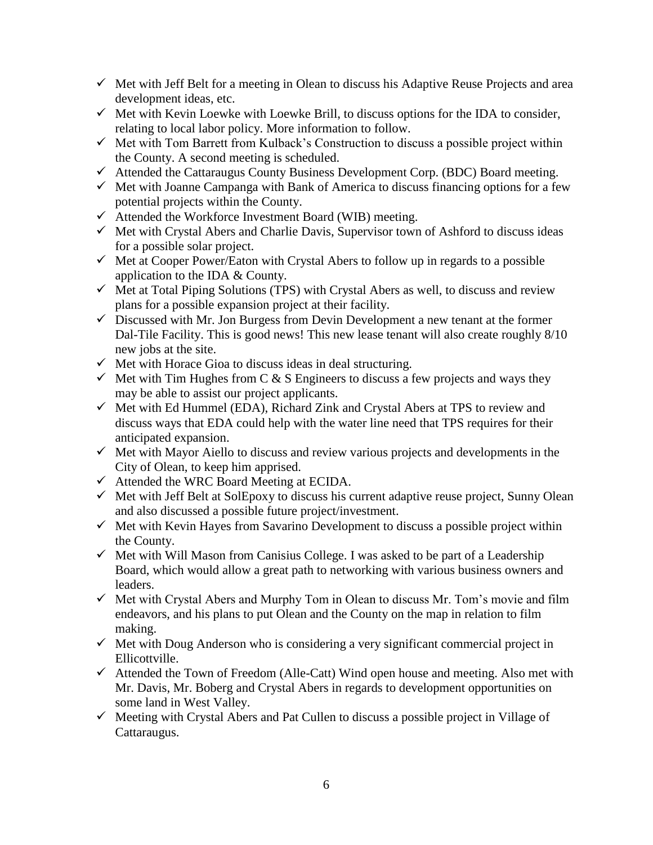- $\checkmark$  Met with Jeff Belt for a meeting in Olean to discuss his Adaptive Reuse Projects and area development ideas, etc.
- $\checkmark$  Met with Kevin Loewke with Loewke Brill, to discuss options for the IDA to consider, relating to local labor policy. More information to follow.
- $\checkmark$  Met with Tom Barrett from Kulback's Construction to discuss a possible project within the County. A second meeting is scheduled.
- $\checkmark$  Attended the Cattaraugus County Business Development Corp. (BDC) Board meeting.
- $\checkmark$  Met with Joanne Campanga with Bank of America to discuss financing options for a few potential projects within the County.
- $\checkmark$  Attended the Workforce Investment Board (WIB) meeting.
- $\checkmark$  Met with Crystal Abers and Charlie Davis, Supervisor town of Ashford to discuss ideas for a possible solar project.
- $\checkmark$  Met at Cooper Power/Eaton with Crystal Abers to follow up in regards to a possible application to the IDA & County.
- $\checkmark$  Met at Total Piping Solutions (TPS) with Crystal Abers as well, to discuss and review plans for a possible expansion project at their facility.
- $\checkmark$  Discussed with Mr. Jon Burgess from Devin Development a new tenant at the former Dal-Tile Facility. This is good news! This new lease tenant will also create roughly 8/10 new jobs at the site.
- $\checkmark$  Met with Horace Gioa to discuss ideas in deal structuring.
- $\checkmark$  Met with Tim Hughes from C & S Engineers to discuss a few projects and ways they may be able to assist our project applicants.
- $\checkmark$  Met with Ed Hummel (EDA), Richard Zink and Crystal Abers at TPS to review and discuss ways that EDA could help with the water line need that TPS requires for their anticipated expansion.
- $\checkmark$  Met with Mayor Aiello to discuss and review various projects and developments in the City of Olean, to keep him apprised.
- $\checkmark$  Attended the WRC Board Meeting at ECIDA.
- $\checkmark$  Met with Jeff Belt at SolEpoxy to discuss his current adaptive reuse project, Sunny Olean and also discussed a possible future project/investment.
- $\checkmark$  Met with Kevin Hayes from Savarino Development to discuss a possible project within the County.
- $\checkmark$  Met with Will Mason from Canisius College. I was asked to be part of a Leadership Board, which would allow a great path to networking with various business owners and leaders.
- $\checkmark$  Met with Crystal Abers and Murphy Tom in Olean to discuss Mr. Tom's movie and film endeavors, and his plans to put Olean and the County on the map in relation to film making.
- $\checkmark$  Met with Doug Anderson who is considering a very significant commercial project in Ellicottville.
- $\checkmark$  Attended the Town of Freedom (Alle-Catt) Wind open house and meeting. Also met with Mr. Davis, Mr. Boberg and Crystal Abers in regards to development opportunities on some land in West Valley.
- $\checkmark$  Meeting with Crystal Abers and Pat Cullen to discuss a possible project in Village of Cattaraugus.